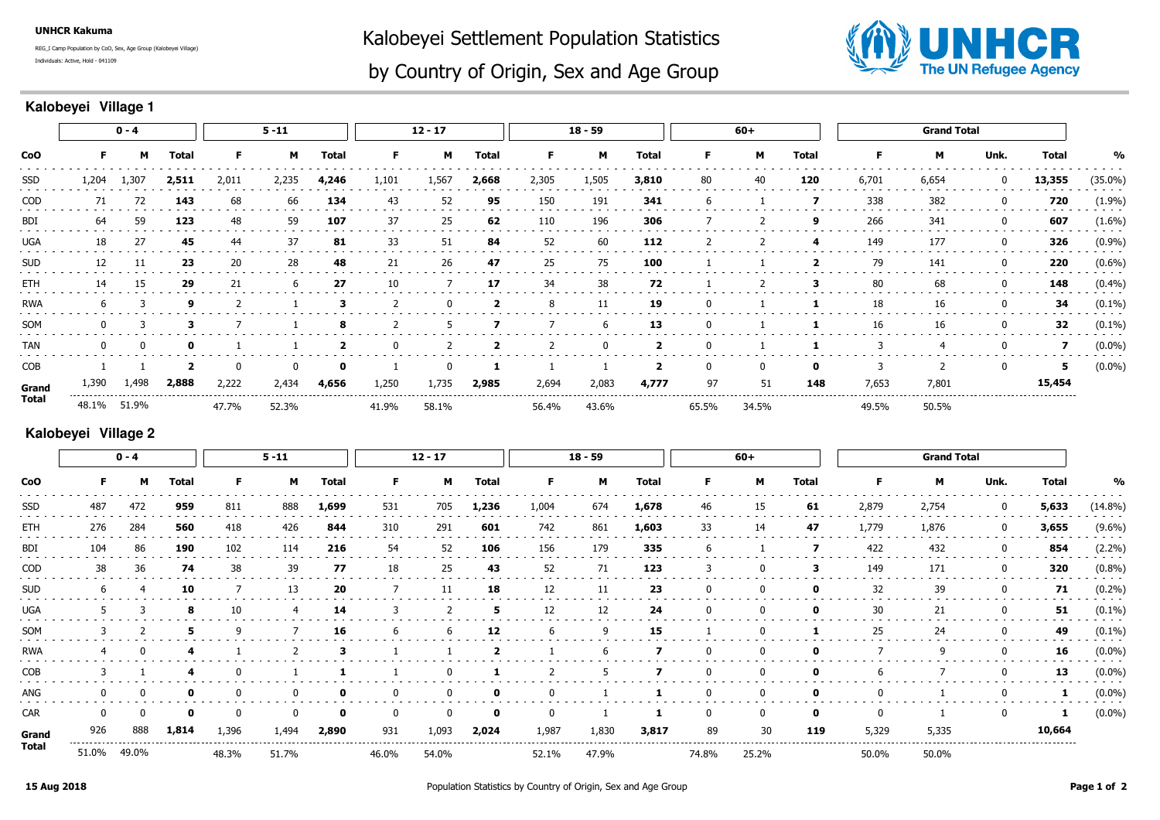**UNHCR Kakuma**

Individuals: Active, Hold - 041109REG\_I Camp Population by CoO, Sex, Age Group (Kalobeyei Village) Kalobeyei Settlement Population Statistics



## by Country of Origin, Sex and Age Group

## **Kalobeyei Village 1**

|            | $0 - 4$ |       |             | $5 - 11$ |       |                                   | $12 - 17$    |       |                       | $18 - 59$           |                     |                         | $60+$    |       |             | <b>Grand Total</b>                   |       |      |        |            |
|------------|---------|-------|-------------|----------|-------|-----------------------------------|--------------|-------|-----------------------|---------------------|---------------------|-------------------------|----------|-------|-------------|--------------------------------------|-------|------|--------|------------|
| <b>CoO</b> |         | м     | Total       |          | м     | Total                             | F            | м     | Total                 | F.                  | м                   | <b>Total</b>            | F.       | м     | Total       |                                      | М     | Unk. | Total  | %          |
| SSD        | 1,204   | 1,307 | 2,511       | 2,011    | 2,235 | 4,246                             | 1,101        | 1,567 | 2,668                 | 2,305               | 1,505               | 3,810                   | 80       | 40    | 120         | 6,701                                | 6,654 | 0    | 13,355 | $(35.0\%)$ |
| COD        | 71      | 72    | 143         | 68       | 66    | 134                               | 43           | 52    | 95                    | 150                 | 191                 | 341                     | -6       |       |             | 338                                  | 382   | -0   | 720    | (1.9%)     |
| BDI        | 64      | 59    | 123         | 48       | 59    | 107                               | 37           | 25    | 62                    | 110                 | 196                 | 306                     |          |       | 9           | 266                                  | 341   | 0    | 607    | $(1.6\%)$  |
| <b>UGA</b> | 18      | 27    | 45          | 44       | 37    | 81                                | 33           | 51    | 84                    | 52                  | 60                  | 112                     |          |       | 4           | 149                                  | 177   |      | 326    | (0.9%      |
| <b>SUD</b> | 12      | 11    | 23          | 20       | 28    | 48                                | 21           | 26    | 47                    | 25                  | 75                  | 100                     |          |       | 2           | 79                                   | 141   | 0    | 220    | $(0.6\%)$  |
| ETH        | 14      | 15    | 29          | 21       | 6     | 27                                | 10           |       | 17                    | 34                  | 38                  | 72                      |          |       | з           | 80                                   | 68    | 0    | 148    | (0.4%      |
| <b>RWA</b> |         |       | 9           |          |       | 3                                 |              |       |                       | 8                   | 11                  | 19                      | $\Omega$ |       |             | 18                                   | 16    |      | 34     | $(0.1\%)$  |
| SOM        | 0       |       | з           |          |       | 8                                 | 2            |       |                       |                     | 6                   | 13                      | 0        |       |             | 16                                   | 16    | 0    | 32     | $(0.1\%)$  |
| <b>TAN</b> |         | 0     | $\mathbf o$ |          |       |                                   | $\mathbf{0}$ |       | 2                     |                     | $\Omega$            |                         | 0        |       |             | 3                                    | 4     |      |        | $(0.0\%)$  |
| <b>COB</b> |         |       | -2          | $\Omega$ | 0     | $\mathbf 0$                       |              |       | 1                     |                     |                     | $\overline{\mathbf{2}}$ | 0        | 0     | $\mathbf 0$ | 3                                    | 2     | 0    | 5      | $(0.0\%)$  |
| Grand      | 1,390   | 1,498 | 2,888       | 2,222    | 2,434 | 4,656<br>------------------------ | 1,250        | 1,735 | 2,985<br>------------ | 2,694<br>---------- | 2,083<br>---------- | 4,777                   | 97       | 51    | 148         | 7,653<br>--------------------------- | 7,801 |      | 15,454 |            |
| Total      | 48.1%   | 51.9% |             | 47.7%    | 52.3% |                                   | 41.9%        | 58.1% |                       | 56.4%               | 43.6%               |                         | 65.5%    | 34.5% |             | 49.5%                                | 50.5% |      |        |            |

## **Kalobeyei Village 2**

| <b>CoO</b>   | $0 - 4$ |          |       | $5 - 11$ |          |              | $12 - 17$ |              |              | $18 - 59$ |       |              | $60+$ |              |              | <b>Grand Total</b> |       |             |        |            |
|--------------|---------|----------|-------|----------|----------|--------------|-----------|--------------|--------------|-----------|-------|--------------|-------|--------------|--------------|--------------------|-------|-------------|--------|------------|
|              | F.      | м        | Total | F.       | M        | <b>Total</b> | F.        | М            | <b>Total</b> | F.        | M     | <b>Total</b> | F.    | м            | <b>Total</b> | F                  | м     | Unk.        | Total  | %          |
| SSD          | 487     | 472      | 959   | 811      | 888      | 1,699        | 531       | 705          | 1,236        | 1,004     | 674   | 1,678        | 46    | 15           | 61           | 2,879              | 2,754 | $\mathbf 0$ | 5,633  | $(14.8\%)$ |
| ETH          | 276     | 284      | 560   | 418      | 426      | 844          | 310       | 291          | 601          | 742       | 861   | 1,603        | 33    | 14           | 47           | 1,779              | 1,876 | $\mathbf 0$ | 3,655  | $(9.6\%)$  |
| BDI          | 104     | 86       | 190   | 102      | 114      | 216          | 54        | 52           | 106          | 156       | 179   | 335          | 6     |              | 7            | 422                | 432   | 0           | 854    | $(2.2\%)$  |
| COD          | 38      | 36       | 74    | 38       | 39       | 77           | 18        | 25           | 43           | 52        | 71    | 123          | 3     |              | з            | 149                | 171   | 0           | 320    | (0.8%)     |
| <b>SUD</b>   |         |          | 10    |          | 13       | 20           |           | 11           | 18           | 12        | 11    | 23           | 0     |              | 0            | 32                 | 39    | 0           | 71     | $(0.2\%)$  |
| <b>UGA</b>   |         | 3        | 8     | 10       | -4       | 14           | 3         |              | 5.           | 12        | 12    | 24           | 0     | $\mathbf{0}$ | 0            | 30                 | 21    | 0           | 51     | $(0.1\%)$  |
| SOM          |         |          | 5     |          |          | 16           | 6         | 6            | 12           | h         | 9     | 15           |       |              |              | 25                 | 24    | 0           | 49     | $(0.1\%)$  |
| <b>RWA</b>   |         | $\Omega$ |       |          |          |              |           |              | 2            |           | 6     |              | 0     | 0            | 0            |                    | 9     | $\mathbf 0$ | 16     | $(0.0\%)$  |
| COB          |         |          | 4     |          |          |              |           | 0            |              |           | 5     |              | 0     | 0            | 0            | b                  |       | 0           | 13     | $(0.0\%)$  |
| ANG          |         | 0        | 0     |          | 0        |              | 0         | 0            | $\mathbf{o}$ |           |       |              | 0     | 0            | $\mathbf 0$  | 0                  |       | 0           | 1      | $(0.0\%)$  |
| <b>CAR</b>   |         | $\Omega$ | 0     |          | $\Omega$ |              | $\Omega$  | $\mathbf{0}$ | $\mathbf{o}$ | $\Omega$  |       |              | 0     | 0            | $\Omega$     | $\mathbf{0}$       |       | 0           |        | $(0.0\%)$  |
| Grand        | 926     | 888      | 1,814 | 1,396    | 1,494    | 2,890        | 931       | 1,093        | 2,024        | 1,987     | 1,830 | 3,817        | 89    | 30           | 119          | 5,329              | 5,335 |             | 10,664 |            |
| <b>Total</b> | 51.0%   | 49.0%    |       | 48.3%    | 51.7%    |              | 46.0%     | 54.0%        |              | 52.1%     | 47.9% |              | 74.8% | 25.2%        |              | 50.0%              | 50.0% |             |        |            |